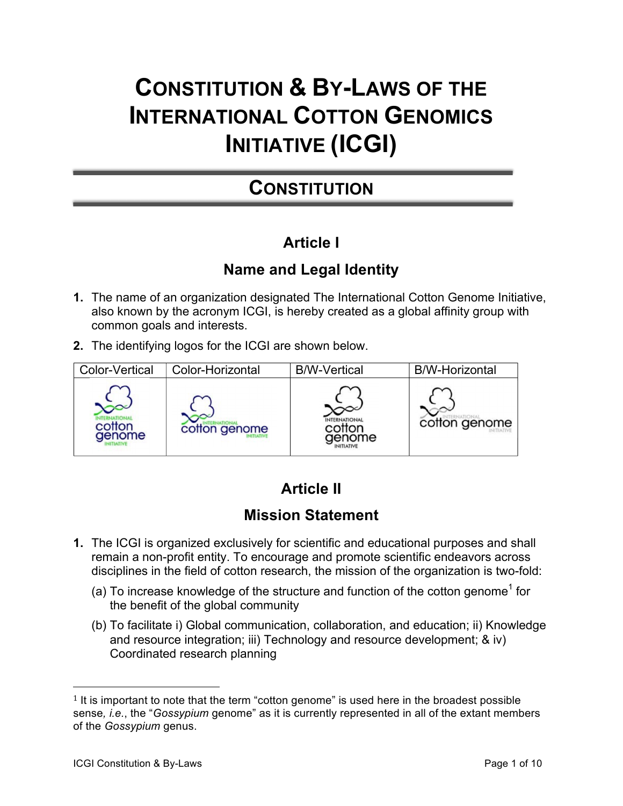# **CONSTITUTION & BY-LAWS OF THE INTERNATIONAL COTTON GENOMICS INITIATIVE (ICGI)**

## **CONSTITUTION**

## **Article I**

#### **Name and Legal Identity**

- **1.** The name of an organization designated The International Cotton Genome Initiative, also known by the acronym ICGI, is hereby created as a global affinity group with common goals and interests.
- **2.** The identifying logos for the ICGI are shown below.



## **Article II**

### **Mission Statement**

- **1.** The ICGI is organized exclusively for scientific and educational purposes and shall remain a non-profit entity. To encourage and promote scientific endeavors across disciplines in the field of cotton research, the mission of the organization is two-fold:
	- (a) To increase knowledge of the structure and function of the cotton genome<sup>1</sup> for the benefit of the global community
	- (b) To facilitate i) Global communication, collaboration, and education; ii) Knowledge and resource integration; iii) Technology and resource development; & iv) Coordinated research planning

 

 $1$  It is important to note that the term "cotton genome" is used here in the broadest possible sense*, i.e.*, the "*Gossypium* genome" as it is currently represented in all of the extant members of the *Gossypium* genus.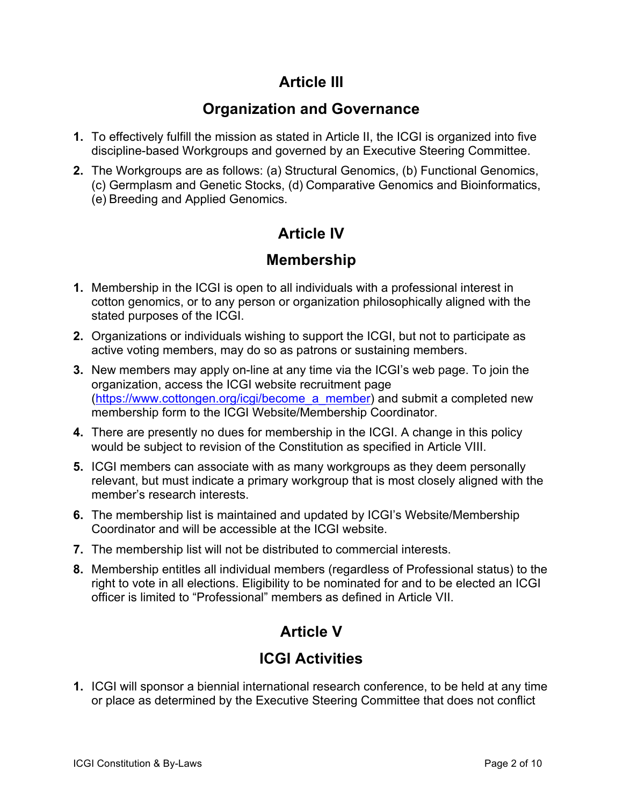#### **Article III**

#### **Organization and Governance**

- **1.** To effectively fulfill the mission as stated in Article II, the ICGI is organized into five discipline-based Workgroups and governed by an Executive Steering Committee.
- **2.** The Workgroups are as follows: (a) Structural Genomics, (b) Functional Genomics, (c) Germplasm and Genetic Stocks, (d) Comparative Genomics and Bioinformatics, (e) Breeding and Applied Genomics.

### **Article IV**

#### **Membership**

- **1.** Membership in the ICGI is open to all individuals with a professional interest in cotton genomics, or to any person or organization philosophically aligned with the stated purposes of the ICGI.
- **2.** Organizations or individuals wishing to support the ICGI, but not to participate as active voting members, may do so as patrons or sustaining members.
- **3.** New members may apply on-line at any time via the ICGI's web page. To join the organization, access the ICGI website recruitment page (https://www.cottongen.org/icgi/become\_a\_member) and submit a completed new membership form to the ICGI Website/Membership Coordinator.
- **4.** There are presently no dues for membership in the ICGI. A change in this policy would be subject to revision of the Constitution as specified in Article VIII.
- **5.** ICGI members can associate with as many workgroups as they deem personally relevant, but must indicate a primary workgroup that is most closely aligned with the member's research interests.
- **6.** The membership list is maintained and updated by ICGI's Website/Membership Coordinator and will be accessible at the ICGI website.
- **7.** The membership list will not be distributed to commercial interests.
- **8.** Membership entitles all individual members (regardless of Professional status) to the right to vote in all elections. Eligibility to be nominated for and to be elected an ICGI officer is limited to "Professional" members as defined in Article VII.

## **Article V**

#### **ICGI Activities**

**1.** ICGI will sponsor a biennial international research conference, to be held at any time or place as determined by the Executive Steering Committee that does not conflict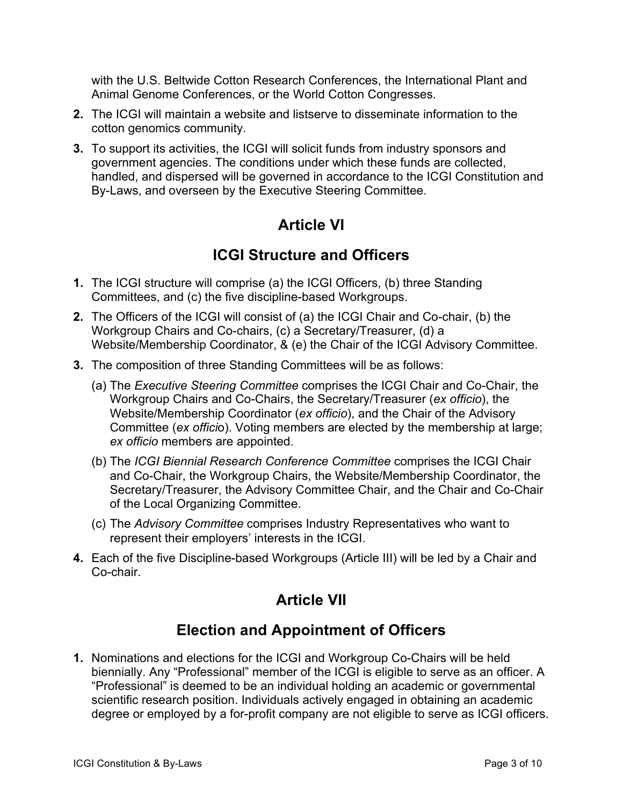with the U.S. Beltwide Cotton Research Conferences, the International Plant and Animal Genome Conferences, or the World Cotton Congresses.

- **2.** The ICGI will maintain a website and listserve to disseminate information to the cotton genomics community.
- **3.** To support its activities, the ICGI will solicit funds from industry sponsors and government agencies. The conditions under which these funds are collected, handled, and dispersed will be governed in accordance to the ICGI Constitution and By-Laws, and overseen by the Executive Steering Committee.

#### **Article VI**

#### **ICGI Structure and Officers**

- **1.** The ICGI structure will comprise (a) the ICGI Officers, (b) three Standing Committees, and (c) the five discipline-based Workgroups.
- **2.** The Officers of the ICGI will consist of (a) the ICGI Chair and Co-chair, (b) the Workgroup Chairs and Co-chairs, (c) a Secretary/Treasurer, (d) a Website/Membership Coordinator, & (e) the Chair of the ICGI Advisory Committee.
- **3.** The composition of three Standing Committees will be as follows:
	- (a) The *Executive Steering Committee* comprises the ICGI Chair and Co-Chair, the Workgroup Chairs and Co-Chairs, the Secretary/Treasurer (*ex officio*), the Website/Membership Coordinator (*ex officio*), and the Chair of the Advisory Committee (*ex offici*o). Voting members are elected by the membership at large; *ex officio* members are appointed.
	- (b) The *ICGI Biennial Research Conference Committee* comprises the ICGI Chair and Co-Chair, the Workgroup Chairs, the Website/Membership Coordinator, the Secretary/Treasurer, the Advisory Committee Chair, and the Chair and Co-Chair of the Local Organizing Committee.
	- (c) The *Advisory Committee* comprises Industry Representatives who want to represent their employers' interests in the ICGI.
- **4.** Each of the five Discipline-based Workgroups (Article III) will be led by a Chair and Co-chair.

### **Article VII**

#### **Election and Appointment of Officers**

**1.** Nominations and elections for the ICGI and Workgroup Co-Chairs will be held biennially. Any "Professional" member of the ICGI is eligible to serve as an officer. A "Professional" is deemed to be an individual holding an academic or governmental scientific research position. Individuals actively engaged in obtaining an academic degree or employed by a for-profit company are not eligible to serve as ICGI officers.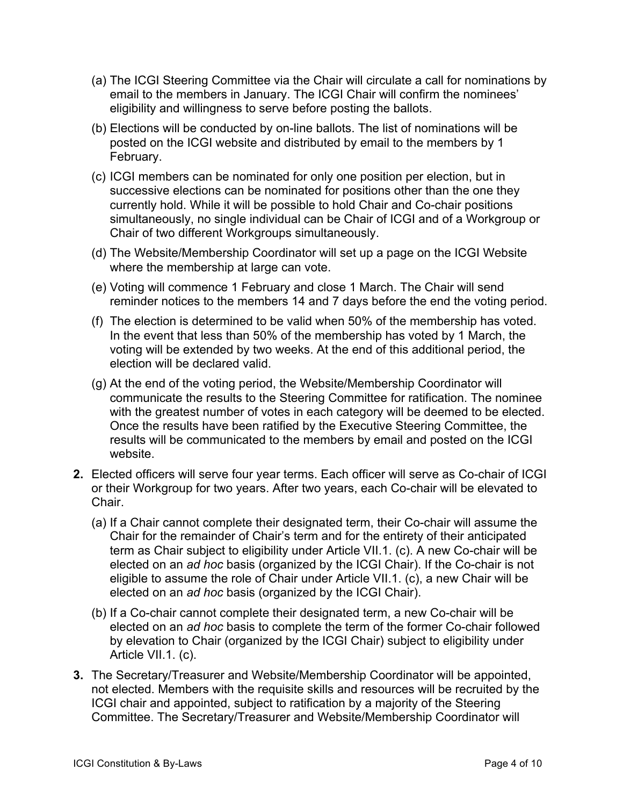- (a) The ICGI Steering Committee via the Chair will circulate a call for nominations by email to the members in January. The ICGI Chair will confirm the nominees' eligibility and willingness to serve before posting the ballots.
- (b) Elections will be conducted by on-line ballots. The list of nominations will be posted on the ICGI website and distributed by email to the members by 1 February.
- (c) ICGI members can be nominated for only one position per election, but in successive elections can be nominated for positions other than the one they currently hold. While it will be possible to hold Chair and Co-chair positions simultaneously, no single individual can be Chair of ICGI and of a Workgroup or Chair of two different Workgroups simultaneously.
- (d) The Website/Membership Coordinator will set up a page on the ICGI Website where the membership at large can vote.
- (e) Voting will commence 1 February and close 1 March. The Chair will send reminder notices to the members 14 and 7 days before the end the voting period.
- (f) The election is determined to be valid when 50% of the membership has voted. In the event that less than 50% of the membership has voted by 1 March, the voting will be extended by two weeks. At the end of this additional period, the election will be declared valid.
- (g) At the end of the voting period, the Website/Membership Coordinator will communicate the results to the Steering Committee for ratification. The nominee with the greatest number of votes in each category will be deemed to be elected. Once the results have been ratified by the Executive Steering Committee, the results will be communicated to the members by email and posted on the ICGI website.
- **2.** Elected officers will serve four year terms. Each officer will serve as Co-chair of ICGI or their Workgroup for two years. After two years, each Co-chair will be elevated to Chair.
	- (a) If a Chair cannot complete their designated term, their Co-chair will assume the Chair for the remainder of Chair's term and for the entirety of their anticipated term as Chair subject to eligibility under Article VII.1. (c). A new Co-chair will be elected on an *ad hoc* basis (organized by the ICGI Chair). If the Co-chair is not eligible to assume the role of Chair under Article VII.1. (c), a new Chair will be elected on an *ad hoc* basis (organized by the ICGI Chair).
	- (b) If a Co-chair cannot complete their designated term, a new Co-chair will be elected on an *ad hoc* basis to complete the term of the former Co-chair followed by elevation to Chair (organized by the ICGI Chair) subject to eligibility under Article VII.1. (c).
- **3.** The Secretary/Treasurer and Website/Membership Coordinator will be appointed, not elected. Members with the requisite skills and resources will be recruited by the ICGI chair and appointed, subject to ratification by a majority of the Steering Committee. The Secretary/Treasurer and Website/Membership Coordinator will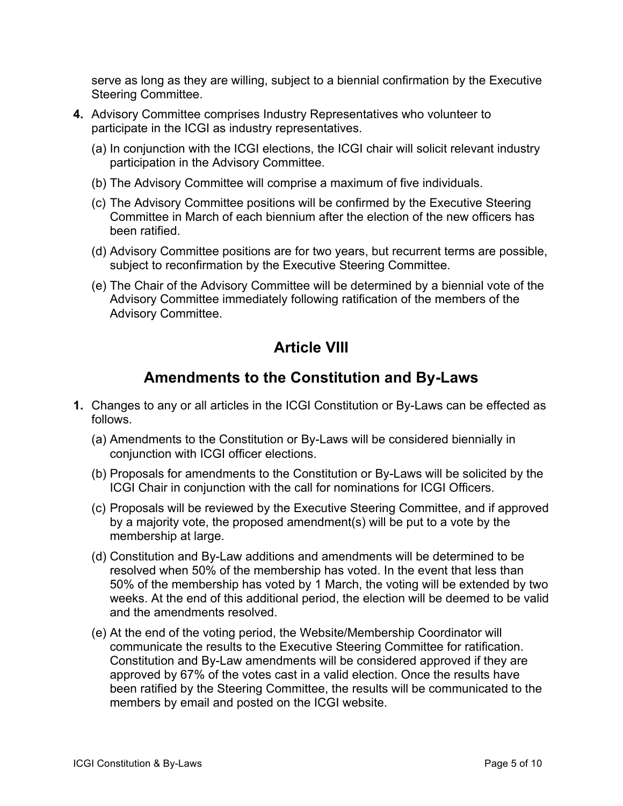serve as long as they are willing, subject to a biennial confirmation by the Executive Steering Committee.

- **4.** Advisory Committee comprises Industry Representatives who volunteer to participate in the ICGI as industry representatives.
	- (a) In conjunction with the ICGI elections, the ICGI chair will solicit relevant industry participation in the Advisory Committee.
	- (b) The Advisory Committee will comprise a maximum of five individuals.
	- (c) The Advisory Committee positions will be confirmed by the Executive Steering Committee in March of each biennium after the election of the new officers has been ratified.
	- (d) Advisory Committee positions are for two years, but recurrent terms are possible, subject to reconfirmation by the Executive Steering Committee.
	- (e) The Chair of the Advisory Committee will be determined by a biennial vote of the Advisory Committee immediately following ratification of the members of the Advisory Committee.

#### **Article VIII**

#### **Amendments to the Constitution and By-Laws**

- **1.** Changes to any or all articles in the ICGI Constitution or By-Laws can be effected as follows.
	- (a) Amendments to the Constitution or By-Laws will be considered biennially in conjunction with ICGI officer elections.
	- (b) Proposals for amendments to the Constitution or By-Laws will be solicited by the ICGI Chair in conjunction with the call for nominations for ICGI Officers.
	- (c) Proposals will be reviewed by the Executive Steering Committee, and if approved by a majority vote, the proposed amendment(s) will be put to a vote by the membership at large.
	- (d) Constitution and By-Law additions and amendments will be determined to be resolved when 50% of the membership has voted. In the event that less than 50% of the membership has voted by 1 March, the voting will be extended by two weeks. At the end of this additional period, the election will be deemed to be valid and the amendments resolved.
	- (e) At the end of the voting period, the Website/Membership Coordinator will communicate the results to the Executive Steering Committee for ratification. Constitution and By-Law amendments will be considered approved if they are approved by 67% of the votes cast in a valid election. Once the results have been ratified by the Steering Committee, the results will be communicated to the members by email and posted on the ICGI website.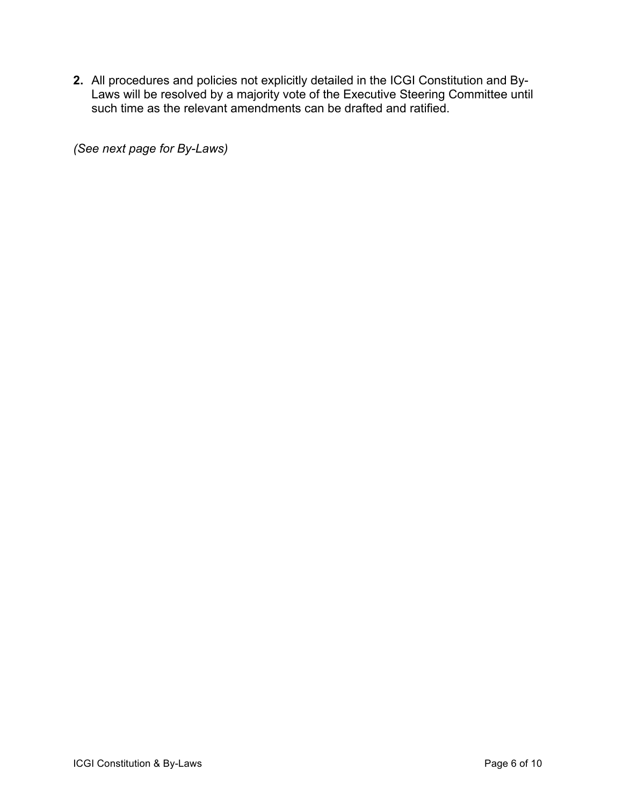**2.** All procedures and policies not explicitly detailed in the ICGI Constitution and By-Laws will be resolved by a majority vote of the Executive Steering Committee until such time as the relevant amendments can be drafted and ratified.

*(See next page for By-Laws)*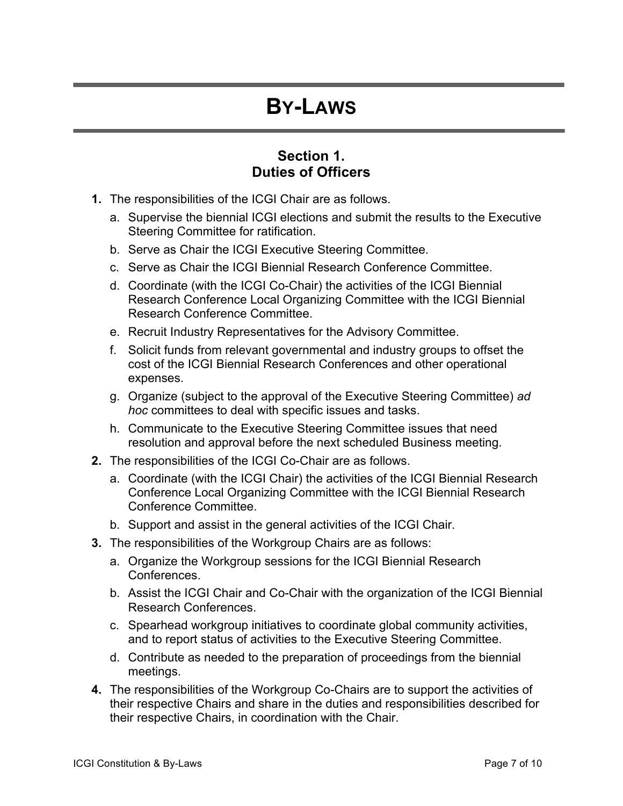## **BY-LAWS**

#### **Section 1. Duties of Officers**

- **1.** The responsibilities of the ICGI Chair are as follows.
	- a. Supervise the biennial ICGI elections and submit the results to the Executive Steering Committee for ratification.
	- b. Serve as Chair the ICGI Executive Steering Committee.
	- c. Serve as Chair the ICGI Biennial Research Conference Committee.
	- d. Coordinate (with the ICGI Co-Chair) the activities of the ICGI Biennial Research Conference Local Organizing Committee with the ICGI Biennial Research Conference Committee.
	- e. Recruit Industry Representatives for the Advisory Committee.
	- f. Solicit funds from relevant governmental and industry groups to offset the cost of the ICGI Biennial Research Conferences and other operational expenses.
	- g. Organize (subject to the approval of the Executive Steering Committee) *ad hoc* committees to deal with specific issues and tasks.
	- h. Communicate to the Executive Steering Committee issues that need resolution and approval before the next scheduled Business meeting.
- **2.** The responsibilities of the ICGI Co-Chair are as follows.
	- a. Coordinate (with the ICGI Chair) the activities of the ICGI Biennial Research Conference Local Organizing Committee with the ICGI Biennial Research Conference Committee.
	- b. Support and assist in the general activities of the ICGI Chair.
- **3.** The responsibilities of the Workgroup Chairs are as follows:
	- a. Organize the Workgroup sessions for the ICGI Biennial Research Conferences.
	- b. Assist the ICGI Chair and Co-Chair with the organization of the ICGI Biennial Research Conferences.
	- c. Spearhead workgroup initiatives to coordinate global community activities, and to report status of activities to the Executive Steering Committee.
	- d. Contribute as needed to the preparation of proceedings from the biennial meetings.
- **4.** The responsibilities of the Workgroup Co-Chairs are to support the activities of their respective Chairs and share in the duties and responsibilities described for their respective Chairs, in coordination with the Chair.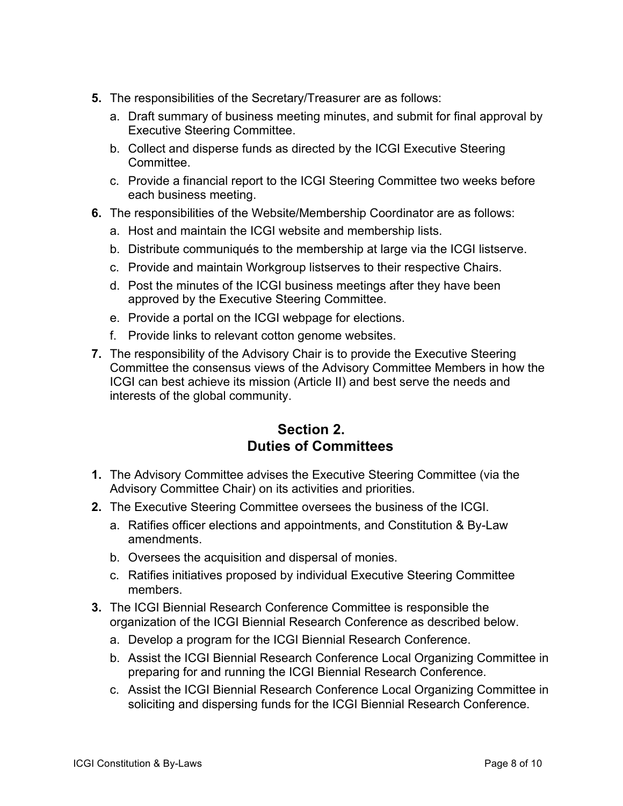- **5.** The responsibilities of the Secretary/Treasurer are as follows:
	- a. Draft summary of business meeting minutes, and submit for final approval by Executive Steering Committee.
	- b. Collect and disperse funds as directed by the ICGI Executive Steering Committee.
	- c. Provide a financial report to the ICGI Steering Committee two weeks before each business meeting.
- **6.** The responsibilities of the Website/Membership Coordinator are as follows:
	- a. Host and maintain the ICGI website and membership lists.
	- b. Distribute communiqués to the membership at large via the ICGI listserve.
	- c. Provide and maintain Workgroup listserves to their respective Chairs.
	- d. Post the minutes of the ICGI business meetings after they have been approved by the Executive Steering Committee.
	- e. Provide a portal on the ICGI webpage for elections.
	- f. Provide links to relevant cotton genome websites.
- **7.** The responsibility of the Advisory Chair is to provide the Executive Steering Committee the consensus views of the Advisory Committee Members in how the ICGI can best achieve its mission (Article II) and best serve the needs and interests of the global community.

#### **Section 2. Duties of Committees**

- **1.** The Advisory Committee advises the Executive Steering Committee (via the Advisory Committee Chair) on its activities and priorities.
- **2.** The Executive Steering Committee oversees the business of the ICGI.
	- a. Ratifies officer elections and appointments, and Constitution & By-Law amendments.
	- b. Oversees the acquisition and dispersal of monies.
	- c. Ratifies initiatives proposed by individual Executive Steering Committee members.
- **3.** The ICGI Biennial Research Conference Committee is responsible the organization of the ICGI Biennial Research Conference as described below.
	- a. Develop a program for the ICGI Biennial Research Conference.
	- b. Assist the ICGI Biennial Research Conference Local Organizing Committee in preparing for and running the ICGI Biennial Research Conference.
	- c. Assist the ICGI Biennial Research Conference Local Organizing Committee in soliciting and dispersing funds for the ICGI Biennial Research Conference.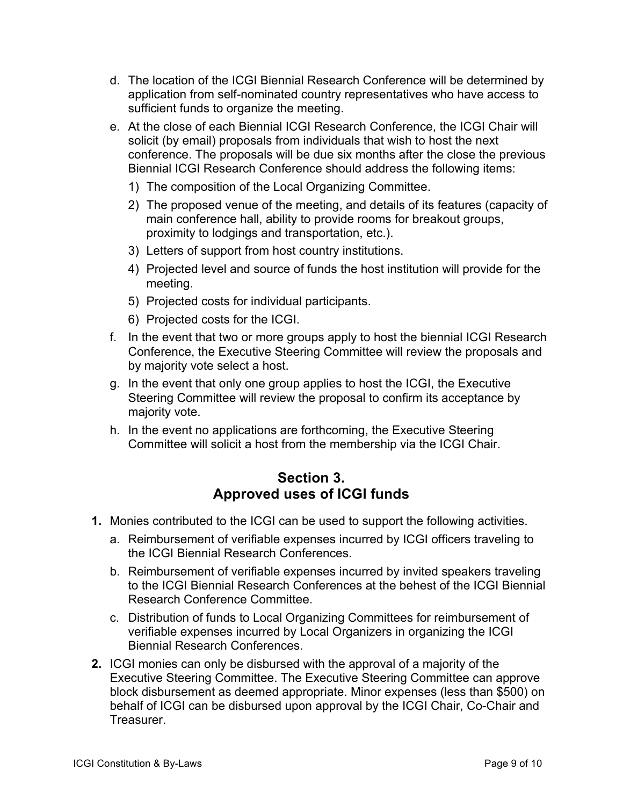- d. The location of the ICGI Biennial Research Conference will be determined by application from self-nominated country representatives who have access to sufficient funds to organize the meeting.
- e. At the close of each Biennial ICGI Research Conference, the ICGI Chair will solicit (by email) proposals from individuals that wish to host the next conference. The proposals will be due six months after the close the previous Biennial ICGI Research Conference should address the following items:
	- 1) The composition of the Local Organizing Committee.
	- 2) The proposed venue of the meeting, and details of its features (capacity of main conference hall, ability to provide rooms for breakout groups, proximity to lodgings and transportation, etc.).
	- 3) Letters of support from host country institutions.
	- 4) Projected level and source of funds the host institution will provide for the meeting.
	- 5) Projected costs for individual participants.
	- 6) Projected costs for the ICGI.
- f. In the event that two or more groups apply to host the biennial ICGI Research Conference, the Executive Steering Committee will review the proposals and by majority vote select a host.
- g. In the event that only one group applies to host the ICGI, the Executive Steering Committee will review the proposal to confirm its acceptance by majority vote.
- h. In the event no applications are forthcoming, the Executive Steering Committee will solicit a host from the membership via the ICGI Chair.

#### **Section 3. Approved uses of ICGI funds**

- **1.** Monies contributed to the ICGI can be used to support the following activities.
	- a. Reimbursement of verifiable expenses incurred by ICGI officers traveling to the ICGI Biennial Research Conferences.
	- b. Reimbursement of verifiable expenses incurred by invited speakers traveling to the ICGI Biennial Research Conferences at the behest of the ICGI Biennial Research Conference Committee.
	- c. Distribution of funds to Local Organizing Committees for reimbursement of verifiable expenses incurred by Local Organizers in organizing the ICGI Biennial Research Conferences.
- **2.** ICGI monies can only be disbursed with the approval of a majority of the Executive Steering Committee. The Executive Steering Committee can approve block disbursement as deemed appropriate. Minor expenses (less than \$500) on behalf of ICGI can be disbursed upon approval by the ICGI Chair, Co-Chair and Treasurer.